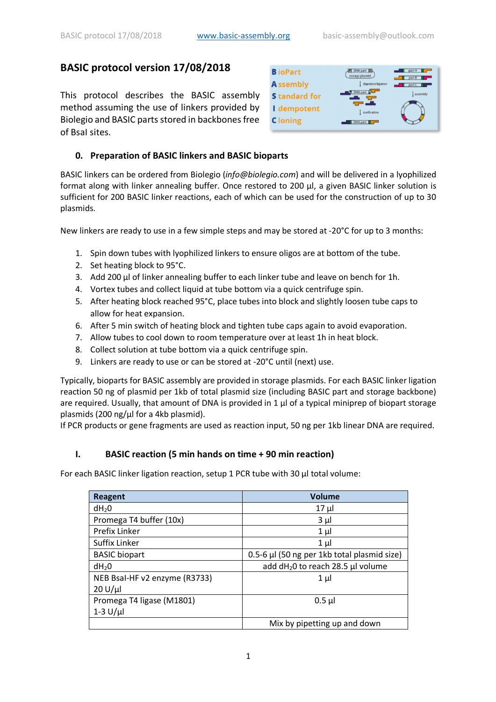# **BASIC protocol version 17/08/2018**

This protocol describes the BASIC assembly method assuming the use of linkers provided by Biolegio and BASIC parts stored in backbones free of BsaI sites.



## **0. Preparation of BASIC linkers and BASIC bioparts**

BASIC linkers can be ordered from Biolegio (*info@biolegio.com*) and will be delivered in a lyophilized format along with linker annealing buffer. Once restored to 200 μl, a given BASIC linker solution is sufficient for 200 BASIC linker reactions, each of which can be used for the construction of up to 30 plasmids.

New linkers are ready to use in a few simple steps and may be stored at -20°C for up to 3 months:

- 1. Spin down tubes with lyophilized linkers to ensure oligos are at bottom of the tube.
- 2. Set heating block to 95°C.
- 3. Add 200 μl of linker annealing buffer to each linker tube and leave on bench for 1h.
- 4. Vortex tubes and collect liquid at tube bottom via a quick centrifuge spin.
- 5. After heating block reached 95°C, place tubes into block and slightly loosen tube caps to allow for heat expansion.
- 6. After 5 min switch of heating block and tighten tube caps again to avoid evaporation.
- 7. Allow tubes to cool down to room temperature over at least 1h in heat block.
- 8. Collect solution at tube bottom via a quick centrifuge spin.
- 9. Linkers are ready to use or can be stored at -20°C until (next) use.

Typically, bioparts for BASIC assembly are provided in storage plasmids. For each BASIC linker ligation reaction 50 ng of plasmid per 1kb of total plasmid size (including BASIC part and storage backbone) are required. Usually, that amount of DNA is provided in 1 μl of a typical miniprep of biopart storage plasmids (200 ng/μl for a 4kb plasmid).

If PCR products or gene fragments are used as reaction input, 50 ng per 1kb linear DNA are required.

### **I. BASIC reaction (5 min hands on time + 90 min reaction)**

For each BASIC linker ligation reaction, setup 1 PCR tube with 30 μl total volume:

| <b>Reagent</b>                | Volume                                        |
|-------------------------------|-----------------------------------------------|
| dH <sub>2</sub> 0             | $17 \mu$                                      |
| Promega T4 buffer (10x)       | $3 \mu$                                       |
| Prefix Linker                 | $1 \mu$                                       |
| Suffix Linker                 | $1 \mu$                                       |
| <b>BASIC</b> biopart          | 0.5-6 µl (50 ng per 1kb total plasmid size)   |
| $dH_2O$                       | add dH <sub>2</sub> 0 to reach 28.5 µl volume |
| NEB Bsal-HF v2 enzyme (R3733) | $1 \mu$                                       |
| $20 U/\mu$                    |                                               |
| Promega T4 ligase (M1801)     | $0.5$ µl                                      |
| $1-3$ U/µl                    |                                               |
|                               | Mix by pipetting up and down                  |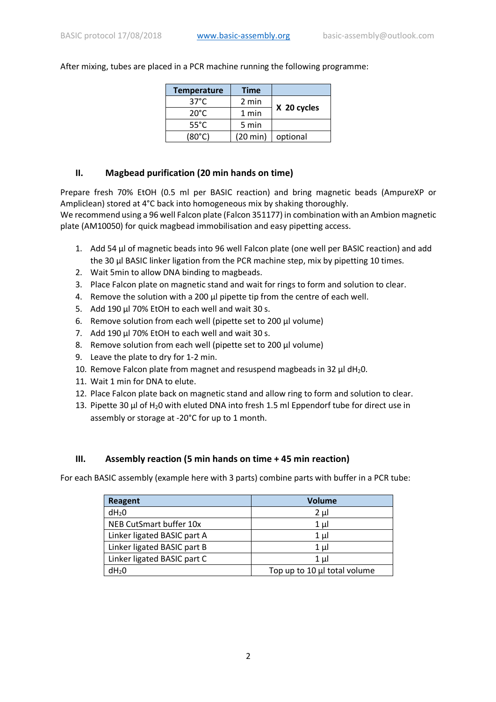After mixing, tubes are placed in a PCR machine running the following programme:

| <b>Temperature</b> | <b>Time</b>        |             |
|--------------------|--------------------|-------------|
| $37^{\circ}$ C     | 2 min              |             |
| $20^{\circ}$ C     | 1 min              | X 20 cycles |
| $55^{\circ}$ C     | 5 min              |             |
| $(80^{\circ}C)$    | $(20 \text{ min})$ | optional    |

### **II. Magbead purification (20 min hands on time)**

Prepare fresh 70% EtOH (0.5 ml per BASIC reaction) and bring magnetic beads (AmpureXP or Ampliclean) stored at 4°C back into homogeneous mix by shaking thoroughly.

We recommend using a 96 well Falcon plate (Falcon 351177) in combination with an Ambion magnetic plate (AM10050) for quick magbead immobilisation and easy pipetting access.

- 1. Add 54 μl of magnetic beads into 96 well Falcon plate (one well per BASIC reaction) and add the 30 μl BASIC linker ligation from the PCR machine step, mix by pipetting 10 times.
- 2. Wait 5min to allow DNA binding to magbeads.
- 3. Place Falcon plate on magnetic stand and wait for rings to form and solution to clear.
- 4. Remove the solution with a 200 μl pipette tip from the centre of each well.
- 5. Add 190 μl 70% EtOH to each well and wait 30 s.
- 6. Remove solution from each well (pipette set to 200 μl volume)
- 7. Add 190 μl 70% EtOH to each well and wait 30 s.
- 8. Remove solution from each well (pipette set to 200 μl volume)
- 9. Leave the plate to dry for 1-2 min.
- 10. Remove Falcon plate from magnet and resuspend magbeads in 32  $\mu$ l dH<sub>2</sub>0.
- 11. Wait 1 min for DNA to elute.
- 12. Place Falcon plate back on magnetic stand and allow ring to form and solution to clear.
- 13. Pipette 30 μl of H20 with eluted DNA into fresh 1.5 ml Eppendorf tube for direct use in assembly or storage at -20°C for up to 1 month.

### **III. Assembly reaction (5 min hands on time + 45 min reaction)**

For each BASIC assembly (example here with 3 parts) combine parts with buffer in a PCR tube:

| Reagent                     | <b>Volume</b>                |
|-----------------------------|------------------------------|
| dH <sub>2</sub> 0           | $2 \mu$                      |
| NEB CutSmart buffer 10x     | $1 \mu$                      |
| Linker ligated BASIC part A | $1 \mu$                      |
| Linker ligated BASIC part B | 1 μl                         |
| Linker ligated BASIC part C | 1 μl                         |
| dH <sub>2</sub> 0           | Top up to 10 µl total volume |